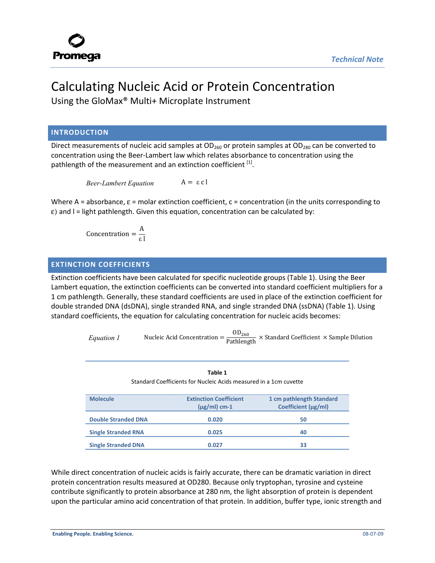

# Calculating Nucleic Acid or Protein Concentration

Using the GloMax® Multi+ Microplate Instrument

### **INTRODUCTION**

Direct measurements of nucleic acid samples at  $OD_{260}$  or protein samples at  $OD_{280}$  can be converted to concentration using the Beer-Lambert law which relates absorbance to concentration using the pathlength of the measurement and an extinction coefficient [1].

*Beer-Lambert Equation*  $A = ε c l$ 

Where A = absorbance,  $\varepsilon$  = molar extinction coefficient,  $c$  = concentration (in the units corresponding to  $\varepsilon$ ) and I = light pathlength. Given this equation, concentration can be calculated by:

> Concentration  $=$   $\frac{A}{A}$ ε l

#### **EXTINCTION COEFFICIENTS**

Extinction coefficients have been calculated for specific nucleotide groups (Table 1). Using the Beer Lambert equation, the extinction coefficients can be converted into standard coefficient multipliers for a 1 cm pathlength. Generally, these standard coefficients are used in place of the extinction coefficient for double stranded DNA (dsDNA), single stranded RNA, and single stranded DNA (ssDNA) (Table 1). Using standard coefficients, the equation for calculating concentration for nucleic acids becomes:

*Equation 1* Nucleic Acid Concentration =  $\frac{OD_{260}}{Pathlength}$  × Standard Coefficient × Sample Dilution

**Table 1** Standard Coefficients for Nucleic Acids measured in a 1cm cuvette **Molecule Extinction Coefficient (μg/ml) cm-1 1 cm pathlength Standard Coefficient (μg/ml) Double Stranded DNA 0.020 50 Single Stranded RNA** 0.025 40 **Single Stranded DNA** 0.027 33

While direct concentration of nucleic acids is fairly accurate, there can be dramatic variation in direct protein concentration results measured at OD280. Because only tryptophan, tyrosine and cysteine contribute significantly to protein absorbance at 280 nm, the light absorption of protein is dependent upon the particular amino acid concentration of that protein. In addition, buffer type, ionic strength and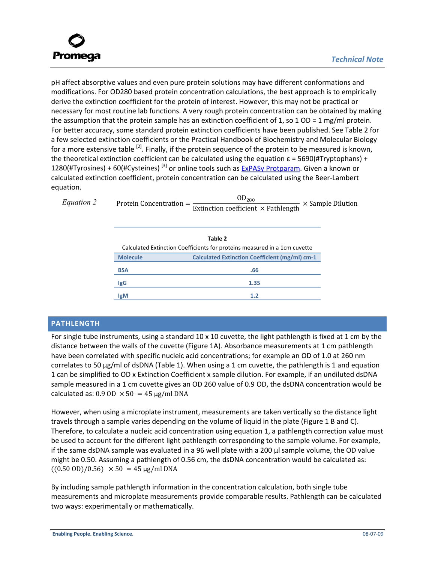

pH affect absorptive values and even pure protein solutions may have different conformations and modifications. For OD280 based protein concentration calculations, the best approach is to empirically derive the extinction coefficient for the protein of interest. However, this may not be practical or necessary for most routine lab functions. A very rough protein concentration can be obtained by making the assumption that the protein sample has an extinction coefficient of 1, so  $1$  OD =  $1$  mg/ml protein. For better accuracy, some standard protein extinction coefficients have been published. See Table 2 for a few selected extinction coefficients or the Practical Handbook of Biochemistry and Molecular Biology for a more extensive table  $^{[2]}$ . Finally, if the protein sequence of the protein to be measured is known, the theoretical extinction coefficient can be calculated using the equation  $\epsilon$  = 5690(#Tryptophans) + 1280(#Tyrosines) + 60(#Cysteines)<sup>[3]</sup> or online tools such as ExPASy Protparam. Given a known or calculated extinction coefficient, protein concentration can be calculated using the Beer-Lambert equation.

| Equation 2 | $OD_{280}$<br>$\times$ Sample Dilution<br>Protein Concentration $=$<br>Extinction coefficient $\times$ Pathlength |                                                |  |
|------------|-------------------------------------------------------------------------------------------------------------------|------------------------------------------------|--|
|            | Calculated Extinction Coefficients for proteins measured in a 1cm cuvette                                         |                                                |  |
|            | <b>Molecule</b>                                                                                                   | Calculated Extinction Coefficient (mg/ml) cm-1 |  |
|            | <b>BSA</b>                                                                                                        | .66                                            |  |
|            | IgG                                                                                                               | 1.35                                           |  |
|            | <b>IgM</b>                                                                                                        | 1.2                                            |  |

# **PATHLENGTH**

For single tube instruments, using a standard 10 x 10 cuvette, the light pathlength is fixed at 1 cm by the distance between the walls of the cuvette (Figure 1A). Absorbance measurements at 1 cm pathlength have been correlated with specific nucleic acid concentrations; for example an OD of 1.0 at 260 nm correlates to 50 μg/ml of dsDNA (Table 1). When using a 1 cm cuvette, the pathlength is 1 and equation 1 can be simplified to OD x Extinction Coefficient x sample dilution. For example, if an undiluted dsDNA sample measured in a 1 cm cuvette gives an OD 260 value of 0.9 OD, the dsDNA concentration would be calculated as:  $0.9$  OD  $\times$  50 = 45 µg/ml DNA

However, when using a microplate instrument, measurements are taken vertically so the distance light travels through a sample varies depending on the volume of liquid in the plate (Figure 1 B and C). Therefore, to calculate a nucleic acid concentration using equation 1, a pathlength correction value must be used to account for the different light pathlength corresponding to the sample volume. For example, if the same dsDNA sample was evaluated in a 96 well plate with a 200 μl sample volume, the OD value might be 0.50. Assuming a pathlength of 0.56 cm, the dsDNA concentration would be calculated as:  $((0.50 \text{ OD})/0.56) \times 50 = 45 \text{ µg/ml DNA}$ 

By including sample pathlength information in the concentration calculation, both single tube measurements and microplate measurements provide comparable results. Pathlength can be calculated two ways: experimentally or mathematically.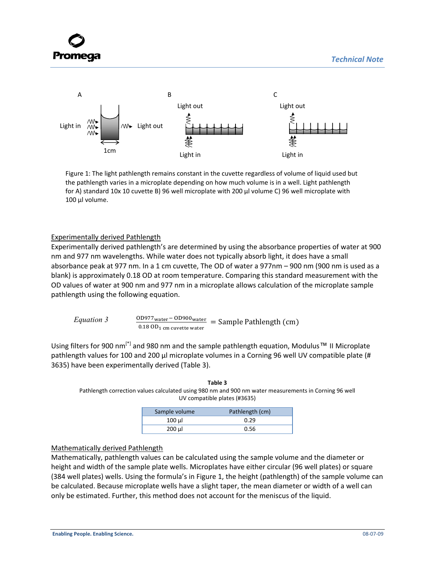



Figure 1: The light pathlength remains constant in the cuvette regardless of volume of liquid used but the pathlength varies in a microplate depending on how much volume is in a well. Light pathlength for A) standard 10x 10 cuvette B) 96 well microplate with 200 μl volume C) 96 well microplate with 100 μl volume.

#### Experimentally derived Pathlength

Experimentally derived pathlength's are determined by using the absorbance properties of water at 900 nm and 977 nm wavelengths. While water does not typically absorb light, it does have a small absorbance peak at 977 nm. In a 1 cm cuvette, The OD of water a 977nm – 900 nm (900 nm is used as a blank) is approximately 0.18 OD at room temperature. Comparing this standard measurement with the OD values of water at 900 nm and 977 nm in a microplate allows calculation of the microplate sample pathlength using the following equation.

*Equation 3* 
$$
\frac{OD977_{\text{water}} - OD900_{\text{water}}}{0.18 \text{ OD}_{1 \text{ cm cuvette water}}} = \text{Sample Pathlength (cm)}
$$

Using filters for 900 nm<sup>[\*]</sup> and 980 nm and the sample pathlength equation, Modulus™ II Microplate pathlength values for 100 and 200 μl microplate volumes in a Corning 96 well UV compatible plate (# 3635) have been experimentally derived (Table 3).

| Table 3                                                                                               |
|-------------------------------------------------------------------------------------------------------|
| Pathlength correction values calculated using 980 nm and 900 nm water measurements in Corning 96 well |
| UV compatible plates (#3635)                                                                          |

| Sample volume | Pathlength (cm) |
|---------------|-----------------|
| $100 \mu$     | 0.29            |
| $200$ µl      | 0.56            |

# Mathematically derived Pathlength

Mathematically, pathlength values can be calculated using the sample volume and the diameter or height and width of the sample plate wells. Microplates have either circular (96 well plates) or square (384 well plates) wells. Using the formula's in Figure 1, the height (pathlength) of the sample volume can be calculated. Because microplate wells have a slight taper, the mean diameter or width of a well can only be estimated. Further, this method does not account for the meniscus of the liquid.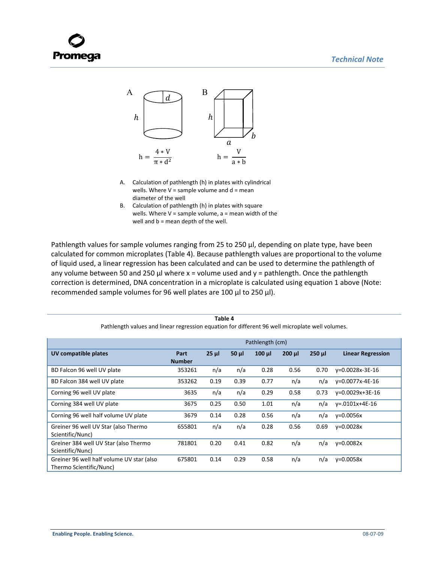



- A. Calculation of pathlength (h) in plates with cylindrical wells. Where  $V =$  sample volume and  $d =$  mean diameter of the well
- B. Calculation of pathlength (h) in plates with square wells. Where  $V =$  sample volume,  $a =$  mean width of the well and b = mean depth of the well.

Pathlength values for sample volumes ranging from 25 to 250 μl, depending on plate type, have been calculated for common microplates (Table 4). Because pathlength values are proportional to the volume of liquid used, a linear regression has been calculated and can be used to determine the pathlength of any volume between 50 and 250  $\mu$  where x = volume used and y = pathlength. Once the pathlength correction is determined, DNA concentration in a microplate is calculated using equation 1 above (Note: recommended sample volumes for 96 well plates are 100 μl to 250 μl).

| Pathlength values and linear regression equation for different 96 well microplate well volumes. |                       |          |            |             |             |             |                          |
|-------------------------------------------------------------------------------------------------|-----------------------|----------|------------|-------------|-------------|-------------|--------------------------|
|                                                                                                 | Pathlength (cm)       |          |            |             |             |             |                          |
| UV compatible plates                                                                            | Part<br><b>Number</b> | $25 \mu$ | $50$ $\mu$ | $100$ $\mu$ | $200$ $\mu$ | $250$ $\mu$ | <b>Linear Regression</b> |
| BD Falcon 96 well UV plate                                                                      | 353261                | n/a      | n/a        | 0.28        | 0.56        | 0.70        | y=0.0028x-3E-16          |
| BD Falcon 384 well UV plate                                                                     | 353262                | 0.19     | 0.39       | 0.77        | n/a         | n/a         | y=0.0077x-4E-16          |
| Corning 96 well UV plate                                                                        | 3635                  | n/a      | n/a        | 0.29        | 0.58        | 0.73        | $v=0.0029x+3E-16$        |
| Corning 384 well UV plate                                                                       | 3675                  | 0.25     | 0.50       | 1.01        | n/a         | n/a         | $v = .0101x + 4E - 16$   |
| Corning 96 well half volume UV plate                                                            | 3679                  | 0.14     | 0.28       | 0.56        | n/a         | n/a         | $v = 0.0056x$            |
| Greiner 96 well UV Star (also Thermo<br>Scientific/Nunc)                                        | 655801                | n/a      | n/a        | 0.28        | 0.56        | 0.69        | $v = 0.0028x$            |
| Greiner 384 well UV Star (also Thermo<br>Scientific/Nunc)                                       | 781801                | 0.20     | 0.41       | 0.82        | n/a         | n/a         | $v = 0.0082x$            |
| Greiner 96 well half volume UV star (also<br>Thermo Scientific/Nunc)                            | 675801                | 0.14     | 0.29       | 0.58        | n/a         | n/a         | $v = 0.0058x$            |

**Table 4**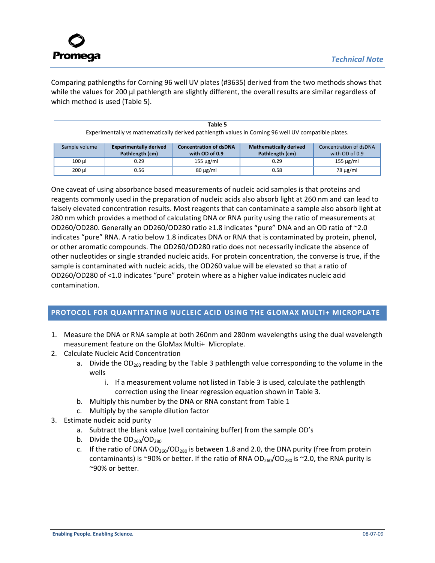

Comparing pathlengths for Corning 96 well UV plates (#3635) derived from the two methods shows that while the values for 200 μl pathlength are slightly different, the overall results are similar regardless of which method is used (Table 5).

| Table 5                                                                                             |  |
|-----------------------------------------------------------------------------------------------------|--|
| Experimentally vs mathematically derived pathlength values in Corning 96 well UV compatible plates. |  |
|                                                                                                     |  |

| Sample volume | <b>Experimentally derived</b><br>Pathlength (cm) | <b>Concentration of dsDNA</b><br>with OD of 0.9 | <b>Mathematically derived</b><br>Pathlength (cm) | Concentration of dsDNA<br>with OD of 0.9 |
|---------------|--------------------------------------------------|-------------------------------------------------|--------------------------------------------------|------------------------------------------|
| 100 µl        | 0.29                                             | $155 \mu g/ml$                                  | 0.29                                             | $155 \mu g/ml$                           |
| 200 µl        | 0.56                                             | $80 \mu g/ml$                                   | 0.58                                             | $78 \mu g/ml$                            |

One caveat of using absorbance based measurements of nucleic acid samples is that proteins and reagents commonly used in the preparation of nucleic acids also absorb light at 260 nm and can lead to falsely elevated concentration results. Most reagents that can contaminate a sample also absorb light at 280 nm which provides a method of calculating DNA or RNA purity using the ratio of measurements at OD260/OD280. Generally an OD260/OD280 ratio ≥1.8 indicates "pure" DNA and an OD ratio of ~2.0 indicates "pure" RNA. A ratio below 1.8 indicates DNA or RNA that is contaminated by protein, phenol, or other aromatic compounds. The OD260/OD280 ratio does not necessarily indicate the absence of other nucleotides or single stranded nucleic acids. For protein concentration, the converse is true, if the sample is contaminated with nucleic acids, the OD260 value will be elevated so that a ratio of OD260/OD280 of <1.0 indicates "pure" protein where as a higher value indicates nucleic acid contamination.

# **PROTOCOL FOR QUANTITATING NUCLEIC ACID USING THE GLOMAX MULTI+ MICROPLATE**

- 1. Measure the DNA or RNA sample at both 260nm and 280nm wavelengths using the dual wavelength measurement feature on the GloMax Multi+ Microplate.
- 2. Calculate Nucleic Acid Concentration
	- a. Divide the  $OD<sub>260</sub>$  reading by the Table 3 pathlength value corresponding to the volume in the wells
		- i. If a measurement volume not listed in Table 3 is used, calculate the pathlength correction using the linear regression equation shown in Table 3.
	- b. Multiply this number by the DNA or RNA constant from Table 1
	- c. Multiply by the sample dilution factor
- 3. Estimate nucleic acid purity
	- a. Subtract the blank value (well containing buffer) from the sample OD's
	- b. Divide the  $OD<sub>260</sub>/OD<sub>280</sub>$
	- c. If the ratio of DNA  $OD_{260}/OD_{280}$  is between 1.8 and 2.0, the DNA purity (free from protein contaminants) is ~90% or better. If the ratio of RNA OD<sub>260</sub>/OD<sub>280</sub> is ~2.0, the RNA purity is ~90% or better.